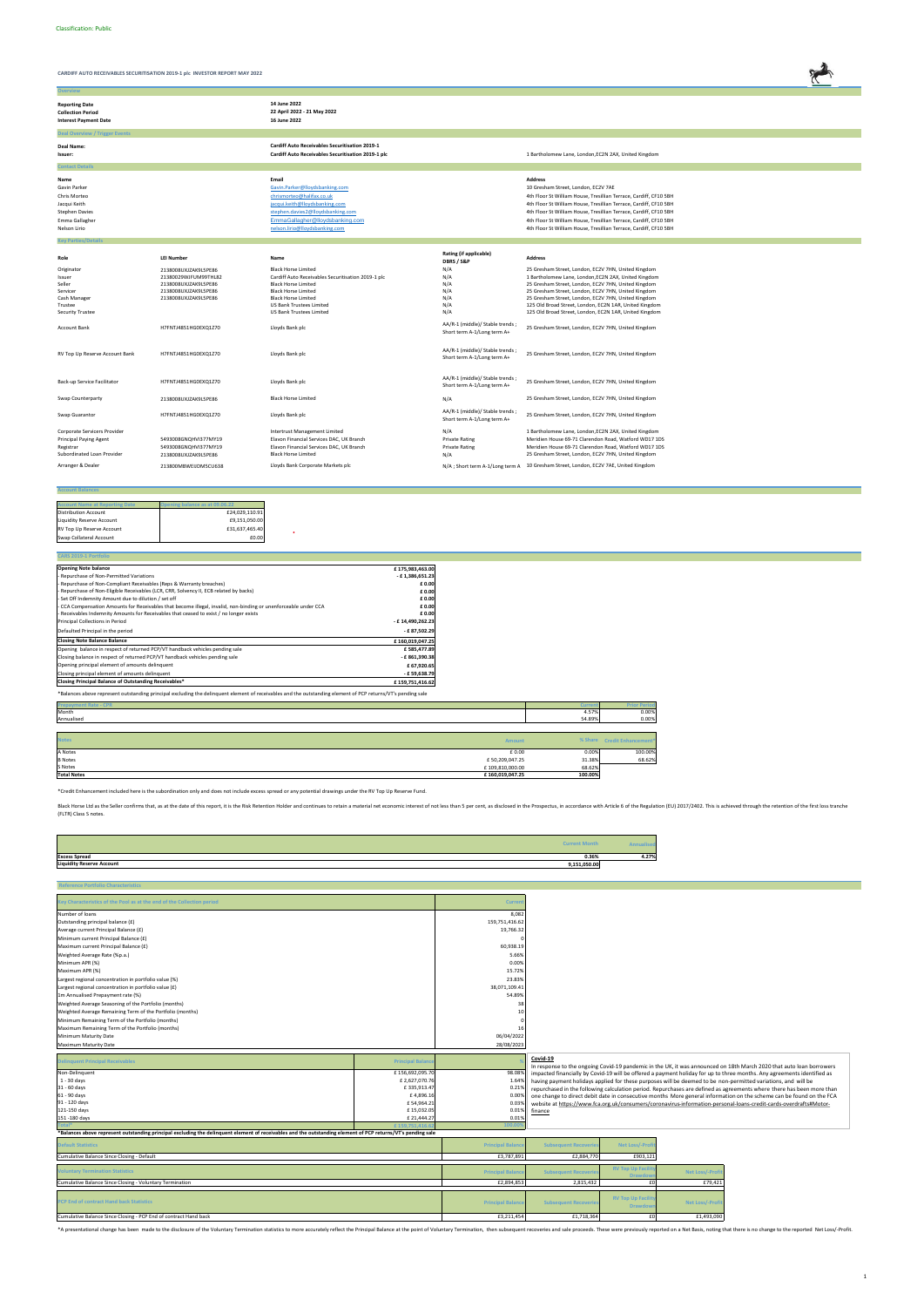

**Overview**

| <b>Reporting Date</b><br><b>Collection Period</b><br><b>Interest Payment Date</b>                               |                                                                                                                      | 14 June 2022<br>22 April 2022 - 21 May 2022<br>16 June 2022                                                                                                                                                                                      |                                                                |                                                                                                                                                                                                                                                                                                                                                                                                                |
|-----------------------------------------------------------------------------------------------------------------|----------------------------------------------------------------------------------------------------------------------|--------------------------------------------------------------------------------------------------------------------------------------------------------------------------------------------------------------------------------------------------|----------------------------------------------------------------|----------------------------------------------------------------------------------------------------------------------------------------------------------------------------------------------------------------------------------------------------------------------------------------------------------------------------------------------------------------------------------------------------------------|
| <b>Deal Overview / Trigger Events</b>                                                                           |                                                                                                                      |                                                                                                                                                                                                                                                  |                                                                |                                                                                                                                                                                                                                                                                                                                                                                                                |
| Deal Name:<br>Issuer:                                                                                           |                                                                                                                      | <b>Cardiff Auto Receivables Securitisation 2019-1</b><br>Cardiff Auto Receivables Securitisation 2019-1 plc                                                                                                                                      |                                                                | 1 Bartholomew Lane, London, EC2N 2AX, United Kingdom                                                                                                                                                                                                                                                                                                                                                           |
| <b>Contact Details</b>                                                                                          |                                                                                                                      |                                                                                                                                                                                                                                                  |                                                                |                                                                                                                                                                                                                                                                                                                                                                                                                |
| Name<br>Gavin Parker<br>Chris Morteo<br>Jacqui Keith<br><b>Stephen Davies</b><br>Emma Gallagher<br>Nelson Lirio |                                                                                                                      | Email<br>Gavin.Parker@lloydsbanking.com<br>chrismorteo@halifax.co.uk<br>jacqui.keith@lloydsbanking.com<br>stephen.davies2@lloydsbanking.com<br>EmmaGallagher@llovdsbanking.com<br>nelson.lirio@lloydsbanking.com                                 |                                                                | <b>Address</b><br>10 Gresham Street, London, EC2V 7AE<br>4th Floor St William House, Tresillian Terrace, Cardiff, CF10 5BH<br>4th Floor St William House, Tresillian Terrace, Cardiff, CF10 5BH<br>4th Floor St William House, Tresillian Terrace, Cardiff, CF10 5BH<br>4th Floor St William House, Tresillian Terrace, Cardiff, CF10 5BH<br>4th Floor St William House, Tresillian Terrace, Cardiff, CF10 5BH |
| <b>Key Parties/Detail</b>                                                                                       |                                                                                                                      |                                                                                                                                                                                                                                                  |                                                                |                                                                                                                                                                                                                                                                                                                                                                                                                |
| Role                                                                                                            | <b>LEI Number</b>                                                                                                    | Name                                                                                                                                                                                                                                             | Rating (if applicable)<br>DBRS / S&P                           | <b>Address</b>                                                                                                                                                                                                                                                                                                                                                                                                 |
| Originator<br>Issuer<br>Seller<br>Servicer<br>Cash Manager<br>Trustee<br><b>Security Trustee</b>                | 2138008UXJZAK9L5PE86<br>21380029WJFUM99THL82<br>2138008UXJZAK9L5PE86<br>2138008UXJZAK9L5PE86<br>2138008UXJZAK9L5PE86 | <b>Black Horse Limited</b><br>Cardiff Auto Receivables Securitisation 2019-1 plc<br><b>Black Horse Limited</b><br><b>Black Horse Limited</b><br><b>Black Horse Limited</b><br><b>US Bank Trustees Limited</b><br><b>US Bank Trustees Limited</b> | N/A<br>N/A<br>N/A<br>N/A<br>N/A<br>N/A<br>N/A                  | 25 Gresham Street, London, EC2V 7HN, United Kingdom<br>1 Bartholomew Lane, London, EC2N 2AX, United Kingdom<br>25 Gresham Street, London, EC2V 7HN, United Kingdom<br>25 Gresham Street, London, EC2V 7HN, United Kingdom<br>25 Gresham Street, London, EC2V 7HN, United Kingdom<br>125 Old Broad Street, London, EC2N 1AR, United Kingdom<br>125 Old Broad Street, London, EC2N 1AR, United Kingdom           |
| <b>Account Bank</b>                                                                                             | H7FNTJ4851HG0EXQ1Z70                                                                                                 | Lloyds Bank plc                                                                                                                                                                                                                                  | AA/R-1 (middle)/ Stable trends;<br>Short term A-1/Long term A+ | 25 Gresham Street, London, EC2V 7HN, United Kingdom                                                                                                                                                                                                                                                                                                                                                            |
| RV Top Up Reserve Account Bank                                                                                  | H7FNTJ4851HG0EXQ1Z70                                                                                                 | Lloyds Bank plc                                                                                                                                                                                                                                  | AA/R-1 (middle)/ Stable trends;<br>Short term A-1/Long term A+ | 25 Gresham Street, London, EC2V 7HN, United Kingdom                                                                                                                                                                                                                                                                                                                                                            |
| Back-up Service Facilitator                                                                                     | H7FNTJ4851HG0EXQ1Z70                                                                                                 | Lloyds Bank plc                                                                                                                                                                                                                                  | AA/R-1 (middle)/ Stable trends;<br>Short term A-1/Long term A+ | 25 Gresham Street, London, EC2V 7HN, United Kingdom                                                                                                                                                                                                                                                                                                                                                            |
| Swap Counterparty                                                                                               | 2138008UXJZAK9L5PE86                                                                                                 | <b>Black Horse Limited</b>                                                                                                                                                                                                                       | N/A                                                            | 25 Gresham Street, London, EC2V 7HN, United Kingdom                                                                                                                                                                                                                                                                                                                                                            |
| Swap Guarantor                                                                                                  | H7FNTJ4851HG0EXQ1Z70                                                                                                 | Lloyds Bank plc                                                                                                                                                                                                                                  | AA/R-1 (middle)/ Stable trends;<br>Short term A-1/Long term A+ | 25 Gresham Street, London, EC2V 7HN, United Kingdom                                                                                                                                                                                                                                                                                                                                                            |
| Corporate Servicers Provider<br><b>Principal Paying Agent</b><br>Registrar<br>Subordinated Loan Provider        | 5493008GNQHVI377MY19<br>5493008GNQHVI377MY19<br>2138008UXJZAK9L5PE86                                                 | Intertrust Management Limited<br>Elavon Financial Services DAC, UK Branch<br>Elavon Financial Services DAC, UK Branch<br><b>Black Horse Limited</b>                                                                                              | N/A<br><b>Private Rating</b><br><b>Private Rating</b><br>N/A   | 1 Bartholomew Lane, London, EC2N 2AX, United Kingdom<br>Meridien House 69-71 Clarendon Road, Watford WD17 1DS<br>Meridien House 69-71 Clarendon Road, Watford WD17 1DS<br>25 Gresham Street, London, EC2V 7HN, United Kingdom                                                                                                                                                                                  |
| Arranger & Dealer                                                                                               | 213800MBWEIJDM5CU638                                                                                                 | Lloyds Bank Corporate Markets plc                                                                                                                                                                                                                |                                                                | N/A ; Short term A-1/Long term A 10 Gresham Street, London, EC2V 7AE, United Kingdom                                                                                                                                                                                                                                                                                                                           |

#### **Account Balances**

| <b>Account Name at Reporting Date</b> | pening balance as at 09.06.22 |
|---------------------------------------|-------------------------------|
| <b>Distribution Account</b>           | £24,029,110.91                |
| <b>Liquidity Reserve Account</b>      | £9,151,050.00                 |
| RV Top Up Reserve Account             | £31,637,465.40                |
| Swap Collateral Account               | £0.00                         |

| <b>Opening Note balance</b>                                                                                   | £175,983,463.00  |
|---------------------------------------------------------------------------------------------------------------|------------------|
| - Repurchase of Non-Permitted Variations                                                                      | - £1,386,651.23  |
| - Repurchase of Non-Compliant Receivables (Reps & Warranty breaches)                                          | £ 0.00           |
| - Repurchase of Non-Eligible Receivables (LCR, CRR, Solvency II, ECB related by backs)                        | £ 0.00           |
| - Set Off Indemnity Amount due to dilution / set off                                                          | £ 0.00           |
| CCA Compensation Amounts for Receivables that become illegal, invalid, non-binding or unenforceable under CCA | £ 0.00           |
| - Receivables Indemnity Amounts for Receivables that ceased to exist / no longer exists                       | £ 0.00           |
| Principal Collections in Period                                                                               | - £14,490,262.23 |
| Defaulted Principal in the period                                                                             | -£87,502.29      |
| <b>Closing Note Balance Balance</b>                                                                           | £160,019,047.25  |
| Opening balance in respect of returned PCP/VT handback vehicles pending sale                                  | £585,477.89      |
| Closing balance in respect of returned PCP/VT handback vehicles pending sale                                  | - £861,390.38    |
| Opening principal element of amounts delinquent                                                               | £ 67,920.65      |
| Closing principal element of amounts delinquent                                                               | -£59,638.79      |
| Closing Principal Balance of Outstanding Receivables*                                                         | £159,751,416.62  |

 $\sim$ 

| <b>Prepayment Rate - CPR</b>          | <b>Current</b> | <b>Prior Period</b>         |
|---------------------------------------|----------------|-----------------------------|
| Month                                 | 4.57%          | 0.00%                       |
| Annualised                            | 54.89%         | 0.00%                       |
|                                       |                |                             |
| <b>Notes</b><br><b>Amount</b>         |                | % Share Credit Enhancement* |
| A Notes<br>£ 0.00                     | 0.00%          | 100.00%                     |
| <b>B</b> Notes<br>£50,209,047.25      | 31.38%         | 68.62%                      |
| £109,810,000.00<br>S Notes            | 68.62%         |                             |
| <b>Total Notes</b><br>£160,019,047.25 | 100.00%        |                             |

| <b>Current Mont</b>                              |                |
|--------------------------------------------------|----------------|
| <b>Excess Spread</b>                             | 4.27%<br>0.36% |
| <b>Liquidity Reserve Account</b><br>9,151,050.00 |                |

| <b>Reference Portfolio Characteristics</b>                                                                                                                   |                         |                          |                             |                          |                        |                                                                                                                                                                                                                                        |
|--------------------------------------------------------------------------------------------------------------------------------------------------------------|-------------------------|--------------------------|-----------------------------|--------------------------|------------------------|----------------------------------------------------------------------------------------------------------------------------------------------------------------------------------------------------------------------------------------|
|                                                                                                                                                              |                         |                          |                             |                          |                        |                                                                                                                                                                                                                                        |
| Key Characteristics of the Pool as at the end of the Collection period                                                                                       |                         | Current                  |                             |                          |                        |                                                                                                                                                                                                                                        |
| Number of loans                                                                                                                                              |                         | 8,082                    |                             |                          |                        |                                                                                                                                                                                                                                        |
| Outstanding principal balance (£)                                                                                                                            |                         | 159,751,416.62           |                             |                          |                        |                                                                                                                                                                                                                                        |
| Average current Principal Balance (£)                                                                                                                        |                         | 19,766.32                |                             |                          |                        |                                                                                                                                                                                                                                        |
| Minimum current Principal Balance (£)                                                                                                                        |                         |                          |                             |                          |                        |                                                                                                                                                                                                                                        |
| Maximum current Principal Balance (£)                                                                                                                        |                         | 60,938.19                |                             |                          |                        |                                                                                                                                                                                                                                        |
| Weighted Average Rate (%p.a.)                                                                                                                                |                         | 5.66%                    |                             |                          |                        |                                                                                                                                                                                                                                        |
| Minimum APR (%)                                                                                                                                              |                         | 0.00%                    |                             |                          |                        |                                                                                                                                                                                                                                        |
| Maximum APR (%)                                                                                                                                              |                         | 15.72%                   |                             |                          |                        |                                                                                                                                                                                                                                        |
| Largest regional concentration in portfolio value (%)                                                                                                        |                         | 23.83%                   |                             |                          |                        |                                                                                                                                                                                                                                        |
| Largest regional concentration in portfolio value (£)                                                                                                        |                         | 38,071,109.41            |                             |                          |                        |                                                                                                                                                                                                                                        |
| 1m Annualised Prepayment rate (%)                                                                                                                            |                         | 54.89%                   |                             |                          |                        |                                                                                                                                                                                                                                        |
| Weighted Average Seasoning of the Portfolio (months)                                                                                                         |                         | 38                       |                             |                          |                        |                                                                                                                                                                                                                                        |
| Weighted Average Remaining Term of the Portfolio (months)                                                                                                    |                         | 10                       |                             |                          |                        |                                                                                                                                                                                                                                        |
| Minimum Remaining Term of the Portfolio (months)                                                                                                             |                         |                          |                             |                          |                        |                                                                                                                                                                                                                                        |
| Maximum Remaining Term of the Portfolio (months)                                                                                                             |                         | 16                       |                             |                          |                        |                                                                                                                                                                                                                                        |
| Minimum Maturity Date                                                                                                                                        |                         | 06/04/2022               |                             |                          |                        |                                                                                                                                                                                                                                        |
| Maximum Maturity Date                                                                                                                                        |                         | 28/08/2023               |                             |                          |                        |                                                                                                                                                                                                                                        |
|                                                                                                                                                              |                         |                          |                             |                          |                        |                                                                                                                                                                                                                                        |
| <b>Delinquent Principal Receivables</b>                                                                                                                      | <b>Principal Baland</b> |                          | Covid-19                    |                          |                        |                                                                                                                                                                                                                                        |
| Non-Delinquent                                                                                                                                               | £156,692,095.70         | 98.08%                   |                             |                          |                        | In response to the ongoing Covid-19 pandemic in the UK, it was announced on 18th March 2020 that auto loan borrowers                                                                                                                   |
| $1 - 30$ days                                                                                                                                                | £2,627,070.76           | 1.64%                    |                             |                          |                        | impacted financially by Covid-19 will be offered a payment holiday for up to three months. Any agreements identified as                                                                                                                |
| 31 - 60 days                                                                                                                                                 | £335,913.47             | 0.21%                    |                             |                          |                        | having payment holidays applied for these purposes will be deemed to be non-permitted variations, and will be<br>repurchased in the following calculation period. Repurchases are defined as agreements where there has been more than |
| 61 - 90 days                                                                                                                                                 | £4,896.16               | 0.00%                    |                             |                          |                        | one change to direct debit date in consecutive months More general information on the scheme can be found on the FCA                                                                                                                   |
| 91 - 120 days                                                                                                                                                | £54,964.21              | 0.039                    |                             |                          |                        | website at https://www.fca.org.uk/consumers/coronavirus-information-personal-loans-credit-cards-overdrafts#Motor-                                                                                                                      |
| 121-150 days                                                                                                                                                 | £15,032.05              | 0.01%                    | finance                     |                          |                        |                                                                                                                                                                                                                                        |
| 151-180 days                                                                                                                                                 | £ 21,444.27             | 0.01%                    |                             |                          |                        |                                                                                                                                                                                                                                        |
|                                                                                                                                                              |                         |                          |                             |                          |                        |                                                                                                                                                                                                                                        |
| *Balances above represent outstanding principal excluding the delinquent element of receivables and the outstanding element of PCP returns/VT's pending sale |                         |                          |                             |                          |                        |                                                                                                                                                                                                                                        |
| <b>Default Statistics</b>                                                                                                                                    |                         | <b>Principal Balance</b> | <b>Subsequent Recoverie</b> | Net Loss/-Profi          |                        |                                                                                                                                                                                                                                        |
| Cumulative Balance Since Closing - Default                                                                                                                   |                         | £3,787,891               | £2,884,770                  | £903,121                 |                        |                                                                                                                                                                                                                                        |
|                                                                                                                                                              |                         |                          |                             | <b>RV Top Up Facilit</b> |                        |                                                                                                                                                                                                                                        |
| <b>Voluntary Termination Statistics</b>                                                                                                                      |                         | <b>Principal Balanc</b>  | <b>Subsequent Recoverie</b> | <b>Drawdo</b>            | <b>Net Loss/-Profi</b> |                                                                                                                                                                                                                                        |
| Cumulative Balance Since Closing - Voluntary Termination                                                                                                     |                         | £2,894,853               | 2,815,432                   | £0                       | £79,421                |                                                                                                                                                                                                                                        |
|                                                                                                                                                              |                         |                          |                             |                          |                        |                                                                                                                                                                                                                                        |
| <b>PCP End of contract Hand back Statistics</b>                                                                                                              |                         | <b>Principal Balance</b> | <b>Subsequent Recoverie</b> | <b>RV Top Up Facilit</b> | <b>Net Loss/-Profi</b> |                                                                                                                                                                                                                                        |
|                                                                                                                                                              |                         |                          |                             | <b>Drawdow</b>           |                        |                                                                                                                                                                                                                                        |
| Cumulative Balance Since Closing - PCP End of contract Hand back                                                                                             |                         | £3,211,454               | £1,718,364                  | f(0)                     | £1,493,090             |                                                                                                                                                                                                                                        |
|                                                                                                                                                              |                         |                          |                             |                          |                        |                                                                                                                                                                                                                                        |

\*A presentational change has been made to the disclosure of the Voluntary Termination statistics to more accurately reflect the Principal Balance at the point of Voluntary Termination, then subsequent recoveries and sale p

\*Credit Enhancement included here is the subordination only and does not include excess spread or any potential drawings under the RV Top Up Reserve Fund.

Black Horse Ltd as the Seller confirms that, as at the date of this report, it is the Risk Retention Holder and continues to retain a material net economic interest of not less than 5 per cent, as disclosed in the Prospect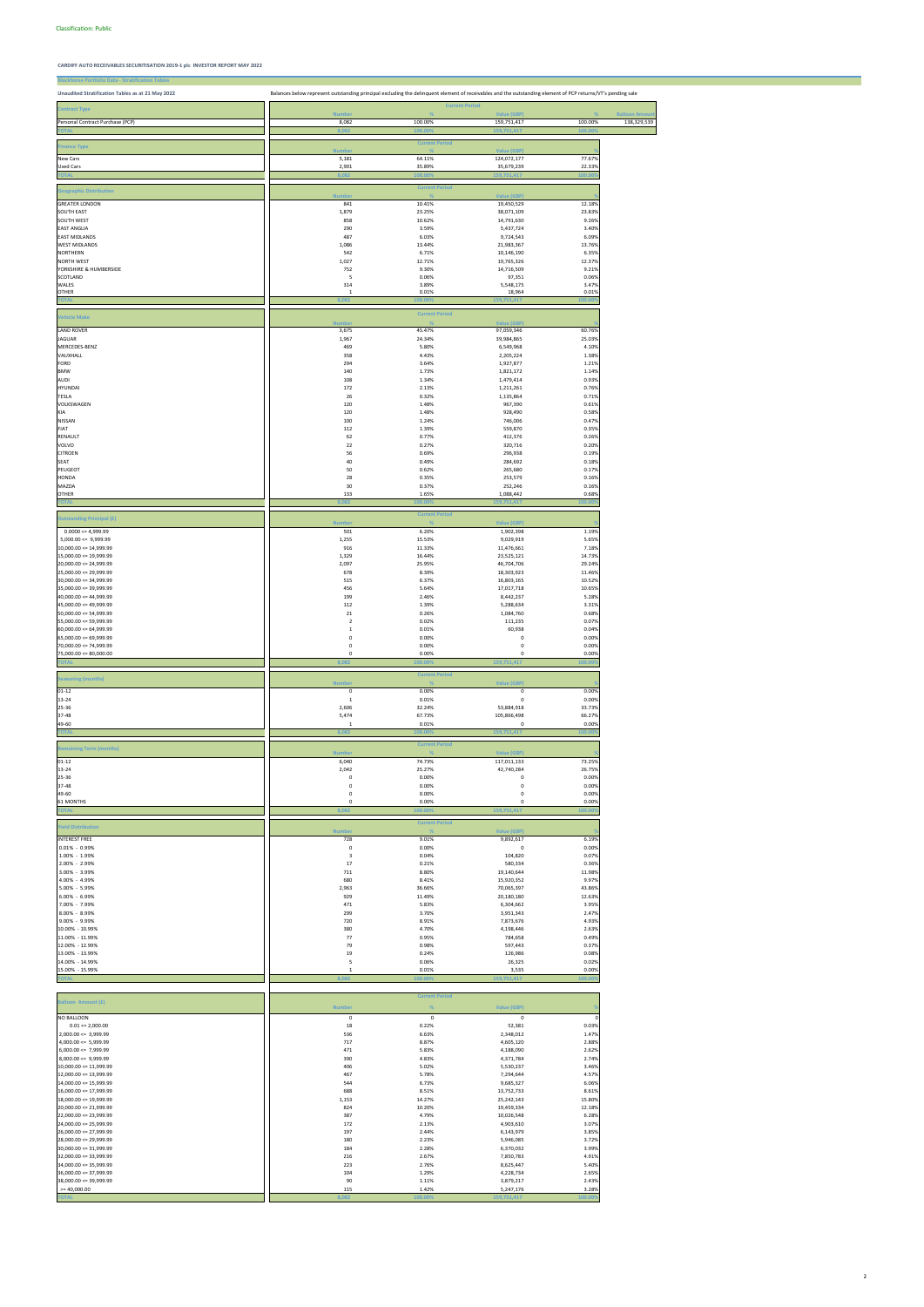| <b>Blackhorse Portfolio Data - Stratification Tables</b> |                                                                                                                                                             |                       |                           |                  |                       |
|----------------------------------------------------------|-------------------------------------------------------------------------------------------------------------------------------------------------------------|-----------------------|---------------------------|------------------|-----------------------|
| Unaudited Stratification Tables as at 21 May 2022        | Balances below represent outstanding principal excluding the delinquent element of receivables and the outstanding element of PCP returns/VT's pending sale |                       |                           |                  |                       |
|                                                          |                                                                                                                                                             |                       | <b>Current Period</b>     |                  |                       |
| <b>Contract Type</b>                                     | <b>Number</b>                                                                                                                                               |                       | Value (GBP)               |                  | <b>Balloon Amount</b> |
| Personal Contract Purchase (PCP)                         | 8,082                                                                                                                                                       | 100.00%               | 159,751,417               | 100.00%          | 138,329,539           |
|                                                          | 8,08                                                                                                                                                        | 100.00                | 159,751,417               | 100.0            |                       |
| <b>Finance Type</b>                                      |                                                                                                                                                             | <b>Current Period</b> |                           |                  |                       |
|                                                          | <b>Numbe</b>                                                                                                                                                |                       | <b>Value (GBP)</b>        |                  |                       |
| New Cars<br><b>Used Cars</b>                             | 5,181<br>2,901                                                                                                                                              | 64.11%<br>35.89%      | 124,072,177<br>35,679,239 | 77.67%<br>22.33% |                       |
|                                                          | 8,082                                                                                                                                                       | 100.00                | 159,751,417               | 100.00           |                       |
|                                                          |                                                                                                                                                             | <b>Current Period</b> |                           |                  |                       |
| <b>Geographic Distribution</b>                           | <b>Number</b>                                                                                                                                               |                       | <b>Value (GBP)</b>        |                  |                       |
| <b>GREATER LONDON</b>                                    | 841                                                                                                                                                         | 10.41%                | 19,450,529                | 12.18%           |                       |
| <b>SOUTH EAST</b><br>SOUTH WEST                          | 1,879<br>858                                                                                                                                                | 23.25%<br>10.62%      | 38,071,109<br>14,791,630  | 23.83%<br>9.26%  |                       |
| <b>EAST ANGLIA</b>                                       | 290                                                                                                                                                         | 3.59%                 | 5,437,724                 | 3.40%            |                       |
| <b>EAST MIDLANDS</b>                                     | 487                                                                                                                                                         | 6.03%                 | 9,724,543                 | 6.09%            |                       |
| <b>WEST MIDLANDS</b>                                     | 1,086                                                                                                                                                       | 13.44%                | 21,983,367                | 13.76%           |                       |
| <b>NORTHERN</b><br><b>NORTH WEST</b>                     | 542<br>1,027                                                                                                                                                | 6.71%<br>12.71%       | 10,146,190<br>19,765,326  | 6.35%<br>12.37%  |                       |
| YORKSHIRE & HUMBERSIDE                                   | 752                                                                                                                                                         | 9.30%                 | 14,716,509                | 9.21%            |                       |
| SCOTLAND                                                 | 5                                                                                                                                                           | 0.06%                 | 97,351                    | 0.06%            |                       |
| WALES<br><b>OTHER</b>                                    | 314<br>1                                                                                                                                                    | 3.89%<br>0.01%        | 5,548,175<br>18,964       | 3.47%<br>0.01%   |                       |
| <b>TOTAL</b>                                             | 8,082                                                                                                                                                       | 100.00                | 159,751,417               | 100.00           |                       |
|                                                          |                                                                                                                                                             | <b>Current Period</b> |                           |                  |                       |
| <b>Vehicle Make</b>                                      | <b>Numbe</b>                                                                                                                                                |                       | Value (GBP)               |                  |                       |
| <b>LAND ROVER</b>                                        | 3,675                                                                                                                                                       | 45.47%                | 97,059,346                | 60.76%           |                       |
| <b>JAGUAR</b>                                            | 1,967                                                                                                                                                       | 24.34%                | 39,984,865                | 25.03%           |                       |
| MERCEDES-BENZ                                            | 469                                                                                                                                                         | 5.80%                 | 6,549,968                 | 4.10%            |                       |
| VAUXHALL<br>FORD                                         | 358<br>294                                                                                                                                                  | 4.43%<br>3.64%        | 2,205,224<br>1,927,877    | 1.38%<br>1.21%   |                       |
| <b>BMW</b>                                               | 140                                                                                                                                                         | 1.73%                 | 1,821,172                 | 1.14%            |                       |
| <b>AUDI</b>                                              | 108                                                                                                                                                         | 1.34%                 | 1,479,414                 | 0.93%            |                       |
| <b>HYUNDAI</b>                                           | 172                                                                                                                                                         | 2.13%                 | 1,211,261                 | 0.76%            |                       |
| TESLA<br>VOLKSWAGEN                                      | 26<br>120                                                                                                                                                   | 0.32%<br>1.48%        | 1,135,864<br>967,390      | 0.71%<br>0.61%   |                       |
| KIA                                                      | 120                                                                                                                                                         | 1.48%                 | 928,490                   | 0.58%            |                       |
| <b>NISSAN</b>                                            | 100                                                                                                                                                         | 1.24%                 | 746,006                   | 0.47%            |                       |
| FIAT                                                     | 112                                                                                                                                                         | 1.39%                 | 559,870                   | 0.35%            |                       |
| RENAULT<br>VOLVO                                         | 62<br>22                                                                                                                                                    | 0.77%<br>0.27%        | 412,376<br>320,716        | 0.26%<br>0.20%   |                       |
| <b>CITROEN</b>                                           | 56                                                                                                                                                          | 0.69%                 | 296,938                   | 0.19%            |                       |
| SEAT                                                     | 40                                                                                                                                                          | 0.49%                 | 284,692                   | 0.18%            |                       |
| PEUGEOT                                                  | 50                                                                                                                                                          | 0.62%                 | 265,680                   | 0.17%            |                       |
| <b>HONDA</b><br>MAZDA                                    | 28<br>30                                                                                                                                                    | 0.35%<br>0.37%        | 253,579<br>252,246        | 0.16%<br>0.16%   |                       |
| <b>OTHER</b>                                             | 133                                                                                                                                                         | 1.65%                 | 1,088,442                 | 0.68%            |                       |
| <b>TOTAL</b>                                             | 8.O8                                                                                                                                                        | 100.00)               | 159,751,417               | 00.00            |                       |
|                                                          |                                                                                                                                                             | <b>Current Period</b> |                           |                  |                       |
| <b>Outstanding Principal (£)</b>                         | <b>Number</b>                                                                                                                                               |                       | Value (GBP)               |                  |                       |
| $0.0000 \le 4,999.99$                                    | 501                                                                                                                                                         | 6.20%                 | 1,902,398                 | 1.19%            |                       |
| $5,000.00 \leq 9,999.99$<br>10,000.00 <= 14,999.99       | 1,255<br>916                                                                                                                                                | 15.53%<br>11.33%      | 9,029,919<br>11,476,661   | 5.65%<br>7.18%   |                       |
| $15,000.00 \leq 19,999.99$                               | 1,329                                                                                                                                                       | 16.44%                | 23,525,121                | 14.73%           |                       |
| $20,000.00 \le 24,999.99$                                | 2,097                                                                                                                                                       | 25.95%                | 46,704,706                | 29.24%           |                       |
| $25,000.00 \le 29,999.99$                                | 678                                                                                                                                                         | 8.39%                 | 18,303,923                | 11.46%           |                       |
| $30,000.00 \le 34,999.99$<br>$35,000.00 \leq 39,999.99$  | 515<br>456                                                                                                                                                  | 6.37%<br>5.64%        | 16,803,165<br>17,017,718  | 10.52%<br>10.65% |                       |
| $40,000.00 \le 44,999.99$                                | 199                                                                                                                                                         | 2.46%                 | 8,442,237                 | 5.28%            |                       |
| $45,000.00 \le 49,999.99$                                | 112                                                                                                                                                         | 1.39%                 | 5,288,634                 | 3.31%            |                       |
| $50,000.00 \le 54,999.99$                                | 21<br>$\overline{2}$                                                                                                                                        | 0.26%<br>0.02%        | 1,084,760                 | 0.68%<br>0.07%   |                       |
| 55,000.00 <= 59,999.99<br>$60,000.00 \le 64,999.99$      | $\mathbf 1$                                                                                                                                                 | 0.01%                 | 111,235<br>60,938         | 0.04%            |                       |
| $65,000.00 \le 69,999.99$                                | 0                                                                                                                                                           | 0.00%                 | 0                         | 0.00%            |                       |
| $70,000.00 \le 74,999.99$                                | $\mathsf 0$                                                                                                                                                 | 0.00%                 | 0                         | 0.00%            |                       |
| $75,000.00 \le 80,000.00$                                | 0                                                                                                                                                           | 0.00%                 | 0<br>159,751,417          | 0.00%<br>100.00  |                       |
|                                                          | 8,082                                                                                                                                                       | 100.00                |                           |                  |                       |
| <b>Seasoning (months)</b>                                |                                                                                                                                                             | <b>Current Period</b> |                           |                  |                       |
| $01 - 12$                                                | <b>Number</b><br>$\mathsf 0$                                                                                                                                | 0.00%                 | Value (GBP)<br>$\pmb{0}$  | 0.00%            |                       |
| 13-24                                                    | $\,$ 1                                                                                                                                                      | 0.01%                 | $\pmb{0}$                 | 0.00%            |                       |
| 25-36                                                    | 2,606                                                                                                                                                       | 32.24%                | 53,884,918                | 33.73%           |                       |
| 37-48<br>49-60                                           | 5,474<br>1                                                                                                                                                  | 67.73%<br>0.01%       | 105,866,498<br>$\pmb{0}$  | 66.27%<br>0.00%  |                       |
| <b>TOTA</b>                                              | 8,082                                                                                                                                                       | 100.009               | 159,751,417               | 100.00           |                       |
|                                                          |                                                                                                                                                             | <b>Current Period</b> |                           |                  |                       |
| <b>Remaining Term (months)</b>                           | <b>Number</b>                                                                                                                                               |                       | Value (GBP)               |                  |                       |
| $01 - 12$                                                | 6,040                                                                                                                                                       | 74.73%                | 117,011,133               | 73.25%           |                       |
| 13-24                                                    | 2,042                                                                                                                                                       | 25.27%                | 42,740,284                | 26.75%           |                       |
| 25-36<br>37-48                                           | $\pmb{0}$<br>$\pmb{0}$                                                                                                                                      | 0.00%<br>0.00%        | 0<br>0                    | 0.00%<br>0.00%   |                       |
| 49-60                                                    | 0                                                                                                                                                           | 0.00%                 | 0                         | 0.00%            |                       |
| 61 MONTHS                                                | 0                                                                                                                                                           | 0.00%                 | 0                         | 0.00%            |                       |
| <b>TOTA</b>                                              | 8,082                                                                                                                                                       | 100.00%               | 159,751,417               | 100.00           |                       |
| <b>Yield Distribution</b>                                |                                                                                                                                                             | <b>Current Period</b> |                           |                  |                       |
|                                                          | <b>Number</b>                                                                                                                                               |                       | Value (GBP)               |                  |                       |
| <b>INTEREST FREE</b><br>$0.01\% - 0.99\%$                | 728<br>$\pmb{0}$                                                                                                                                            | 9.01%<br>0.00%        | 9,892,617<br>$\pmb{0}$    | 6.19%<br>0.00%   |                       |
| 1.00% - 1.99%                                            | 3                                                                                                                                                           | 0.04%                 | 104,820                   | 0.07%            |                       |
| 2.00% - 2.99%                                            | 17                                                                                                                                                          | 0.21%                 | 580,334                   | 0.36%            |                       |
| 3.00% - 3.99%                                            | 711                                                                                                                                                         | 8.80%                 | 19,140,644                | 11.98%           |                       |
| 4.00% - 4.99%<br>5.00% - 5.99%                           | 680<br>2,963                                                                                                                                                | 8.41%<br>36.66%       | 15,920,352<br>70,065,397  | 9.97%<br>43.86%  |                       |
| 6.00% - 6.99%                                            | 929                                                                                                                                                         | 11.49%                | 20,180,180                | 12.63%           |                       |
| 7.00% - 7.99%                                            | 471                                                                                                                                                         | 5.83%                 | 6,304,662                 | 3.95%            |                       |
| 8.00% - 8.99%                                            | 299                                                                                                                                                         | 3.70%                 | 3,951,343                 | 2.47%            |                       |
| 9.00% - 9.99%<br>10.00% - 10.99%                         | 720<br>380                                                                                                                                                  | 8.91%<br>4.70%        | 7,873,676<br>4,198,446    | 4.93%<br>2.63%   |                       |
| 11.00% - 11.99%                                          | 77                                                                                                                                                          | 0.95%                 | 784,658                   | 0.49%            |                       |
| 12.00% - 12.99%                                          | 79                                                                                                                                                          | 0.98%                 | 597,443                   | 0.37%            |                       |
| 13.00% - 13.99%<br>14.00% - 14.99%                       | 19<br>5                                                                                                                                                     | 0.24%                 | 126,986                   | 0.08%<br>0.02%   |                       |
| 15.00% - 15.99%                                          | 1                                                                                                                                                           | 0.06%<br>0.01%        | 26,325<br>3,535           | 0.00%            |                       |

**TOTAL 8,082 100.00% 159,751,417 100.00%**

| <b>Balloon Amount (£)</b>  | <b>Number</b> | %       | Value (GBP) |         |
|----------------------------|---------------|---------|-------------|---------|
| <b>NO BALLOON</b>          | 0             | 0       | 0           | 0       |
| $0.01 \le 2,000.00$        | 18            | 0.22%   | 52,381      | 0.03%   |
| $2,000.00 \leq 3,999.99$   | 536           | 6.63%   | 2,348,012   | 1.47%   |
| $4,000.00 \leq 5,999.99$   | 717           | 8.87%   | 4,605,120   | 2.88%   |
| $6,000.00 \leq 7,999.99$   | 471           | 5.83%   | 4,188,090   | 2.62%   |
| $8,000.00 \leq 9,999.99$   | 390           | 4.83%   | 4,371,784   | 2.74%   |
| $10,000.00 \le 11,999.99$  | 406           | 5.02%   | 5,530,237   | 3.46%   |
| $12,000.00 \leq 13,999.99$ | 467           | 5.78%   | 7,294,644   | 4.57%   |
| $14,000.00 \leq 15,999.99$ | 544           | 6.73%   | 9,685,327   | 6.06%   |
| $16,000.00 \leq 17,999.99$ | 688           | 8.51%   | 13,752,733  | 8.61%   |
| $18,000.00 \leq 19,999.99$ | 1,153         | 14.27%  | 25,242,143  | 15.80%  |
| $20,000.00 \le 21,999.99$  | 824           | 10.20%  | 19,459,334  | 12.18%  |
| $22,000.00 \le 23,999.99$  | 387           | 4.79%   | 10,026,548  | 6.28%   |
| $24,000.00 \le 25,999.99$  | 172           | 2.13%   | 4,903,610   | 3.07%   |
| $26,000.00 \le 27,999.99$  | 197           | 2.44%   | 6,143,979   | 3.85%   |
| $28,000.00 \le 29,999.99$  | 180           | 2.23%   | 5,946,085   | 3.72%   |
| $30,000.00 \leq 31,999.99$ | 184           | 2.28%   | 6,370,032   | 3.99%   |
| $32,000.00 \leq 33,999.99$ | 216           | 2.67%   | 7,850,783   | 4.91%   |
| 34,000.00 <= 35,999.99     | 223           | 2.76%   | 8,625,447   | 5.40%   |
| $36,000.00 \leq 37,999.99$ | 104           | 1.29%   | 4,228,734   | 2.65%   |
| $38,000.00 \leq 39,999.99$ | 90            | 1.11%   | 3,879,217   | 2.43%   |
| $>= 40,000.00$             | 115           | 1.42%   | 5,247,176   | 3.28%   |
| <b>TOTAL</b>               | 8,082         | 100.00% | 159,751,417 | 100.00% |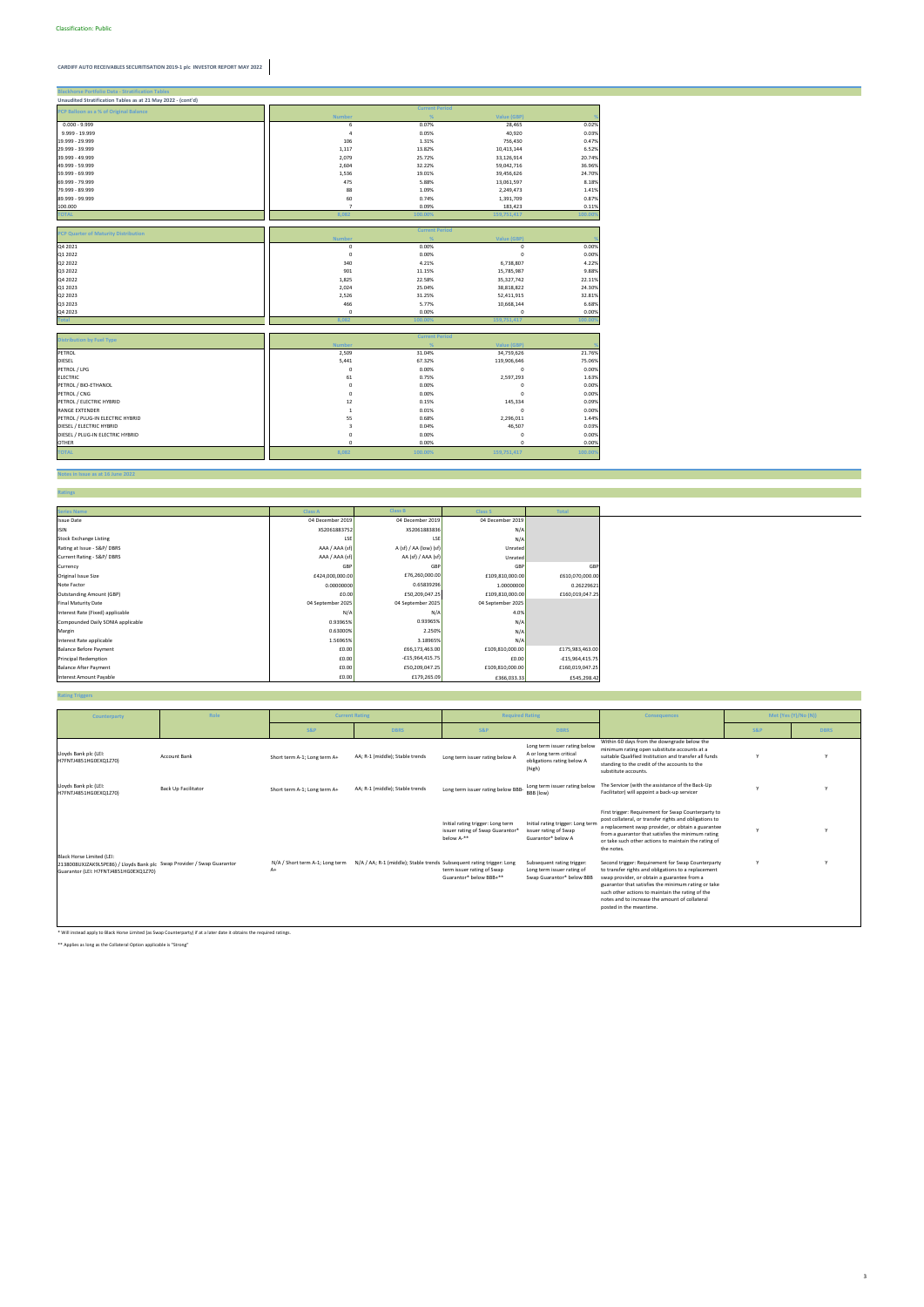#### **Notes in Issue as at 16 June 2022**

**Ratings**

| <b>Blackhorse Portfolio Data - Stratification Tables</b>     |                         |                       |             |         |
|--------------------------------------------------------------|-------------------------|-----------------------|-------------|---------|
| Unaudited Stratification Tables as at 21 May 2022 - (cont'd) |                         |                       |             |         |
| PCP Balloon as a % of Original Balance                       |                         | <b>Current Period</b> |             |         |
|                                                              | <b>Number</b>           | %                     | Value (GBP) |         |
| $0.000 - 9.999$                                              | 6                       | 0.07%                 | 28,465      | 0.02%   |
| 9.999 - 19.999                                               | $\overline{4}$          | 0.05%                 | 40,920      | 0.03%   |
| 19.999 - 29.999                                              | 106                     | 1.31%                 | 756,430     | 0.47%   |
| 29.999 - 39.999                                              | 1,117                   | 13.82%                | 10,413,144  | 6.52%   |
| 39.999 - 49.999                                              | 2,079                   | 25.72%                | 33,126,914  | 20.74%  |
| 49.999 - 59.999                                              | 2,604                   | 32.22%                | 59,042,716  | 36.96%  |
| 59.999 - 69.999                                              | 1,536                   | 19.01%                | 39,456,626  | 24.70%  |
| 69.999 - 79.999                                              | 475                     | 5.88%                 | 13,061,597  | 8.18%   |
| 79.999 - 89.999                                              | 88                      | 1.09%                 | 2,249,473   | 1.41%   |
| 89.999 - 99.999                                              | 60                      | 0.74%                 | 1,391,709   | 0.87%   |
| 100.000                                                      | $\overline{7}$          | 0.09%                 | 183,423     | 0.11%   |
| <b>TOTAL</b>                                                 | 8,082                   | 100.00%               | 159,751,417 | 100.00% |
|                                                              |                         |                       |             |         |
| <b>PCP Quarter of Maturity Distribution</b>                  |                         | <b>Current Period</b> |             |         |
|                                                              | <b>Number</b>           | %                     | Value (GBP) |         |
| Q4 2021                                                      | $\pmb{0}$               | 0.00%                 | $\mathsf 0$ | 0.00%   |
| Q1 2022                                                      | $\mathbf 0$             | 0.00%                 | $\mathbf 0$ | 0.00%   |
| Q2 2022                                                      | 340                     | 4.21%                 | 6,738,807   | 4.22%   |
| Q3 2022                                                      | 901                     | 11.15%                | 15,785,987  | 9.88%   |
| Q4 2022                                                      | 1,825                   | 22.58%                | 35,327,742  | 22.11%  |
| Q1 2023                                                      | 2,024                   | 25.04%                | 38,818,822  | 24.30%  |
| Q2 2023                                                      | 2,526                   | 31.25%                | 52,411,915  | 32.81%  |
| Q3 2023                                                      | 466                     | 5.77%                 | 10,668,144  | 6.68%   |
| Q4 2023                                                      | $\mathbf 0$             | 0.00%                 | 0           | 0.00%   |
| <b>Total</b>                                                 | 8,082                   | 100.00%               | 159,751,417 | 100.00% |
|                                                              |                         |                       |             |         |
| <b>Distribution by Fuel Type</b>                             |                         | <b>Current Period</b> |             |         |
|                                                              | <b>Number</b>           | %                     | Value (GBP) |         |
| PETROL                                                       | 2,509                   | 31.04%                | 34,759,626  | 21.76%  |
| DIESEL                                                       | 5,441                   | 67.32%                | 119,906,646 | 75.06%  |
| PETROL / LPG                                                 | $\mathbf 0$             | 0.00%                 | $\mathsf 0$ | 0.00%   |
| <b>ELECTRIC</b>                                              | 61                      | 0.75%                 | 2,597,293   | 1.63%   |
| PETROL / BIO-ETHANOL                                         | $\mathbf 0$             | 0.00%                 | $\pmb{0}$   | 0.00%   |
| PETROL / CNG                                                 | $\mathbf 0$             | 0.00%                 | $\mathbf 0$ | 0.00%   |
| PETROL / ELECTRIC HYBRID                                     | 12                      | 0.15%                 | 145,334     | 0.09%   |
| <b>RANGE EXTENDER</b>                                        | $\,$ 1                  | 0.01%                 | $\mathbf 0$ | 0.00%   |
| PETROL / PLUG-IN ELECTRIC HYBRID                             | 55                      | 0.68%                 | 2,296,011   | 1.44%   |
| DIESEL / ELECTRIC HYBRID                                     | $\overline{\mathbf{3}}$ | 0.04%                 | 46,507      | 0.03%   |
| DIESEL / PLUG-IN ELECTRIC HYBRID                             | $\mathbf 0$             | 0.00%                 | $\pmb{0}$   | 0.00%   |
| <b>OTHER</b>                                                 | $\mathbf 0$             | 0.00%                 | 0           | 0.00%   |
| <b>TOTAL</b>                                                 | 8,082                   | 100.00%               | 159,751,417 | 100.00% |
|                                                              |                         |                       |             |         |

### **Rating Triggers**

| <b>Series Name</b>                | <b>Class A</b>    | <b>Class B</b>         | <b>Class S</b>    | <b>Total</b>      |
|-----------------------------------|-------------------|------------------------|-------------------|-------------------|
| <b>Issue Date</b>                 | 04 December 2019  | 04 December 2019       | 04 December 2019  |                   |
| <b>ISIN</b>                       | XS2061883752      | XS2061883836           | N/A               |                   |
| <b>Stock Exchange Listing</b>     | LSE               | LSE                    | N/A               |                   |
| Rating at Issue - S&P/DBRS        | AAA / AAA (sf)    | A (sf) / AA (low) (sf) | Unrated           |                   |
| Current Rating - S&P/DBRS         | AAA / AAA (sf)    | AA (sf) / AAA (sf)     | Unrated           |                   |
| Currency                          | GBP               | GBP                    | GBP               | GBF               |
| Original Issue Size               | £424,000,000.00   | £76,260,000.00         | £109,810,000.00   | £610,070,000.00   |
| Note Factor                       | 0.00000000        | 0.65839296             | 1.00000000        | 0.26229621        |
| <b>Outstanding Amount (GBP)</b>   | £0.00             | £50,209,047.25         | £109,810,000.00   | £160,019,047.25   |
| <b>Final Maturity Date</b>        | 04 September 2025 | 04 September 2025      | 04 September 2025 |                   |
| Interest Rate (Fixed) applicable  | N/A               | N/A                    | 4.0%              |                   |
| Compounded Daily SONIA applicable | 0.93965%          | 0.93965%               | N/A               |                   |
| Margin                            | 0.63000%          | 2.250%                 | N/A               |                   |
| Interest Rate applicable          | 1.56965%          | 3.18965%               | N/A               |                   |
| <b>Balance Before Payment</b>     | £0.00             | £66,173,463.00         | £109,810,000.00   | £175,983,463.00   |
| <b>Principal Redemption</b>       | £0.00             | $-£15,964,415.75$      | £0.00             | $-£15,964,415.75$ |
| <b>Balance After Payment</b>      | £0.00             | £50,209,047.25         | £109,810,000.00   | £160,019,047.25   |
| <b>Interest Amount Payable</b>    | £0.00             | £179,265.09            | £366,033.33       | £545,298.42       |

\* Will instead apply to Black Horse Limited (as Swap Counterparty) if at a later date it obtains the required ratings.

\*\* Applies as long as the Collateral Option applicable is "Strong"

| Counterparty                                                                                                                                 | Role                | <b>Current Rating</b>                 |                                                                       |                                                                                                 | <b>Required Rating</b><br><b>Consequences</b>                                                    |                                                                                                                                                                                                                                                                                                                                                 |                | Met (Yes (Y)/No (N)) |
|----------------------------------------------------------------------------------------------------------------------------------------------|---------------------|---------------------------------------|-----------------------------------------------------------------------|-------------------------------------------------------------------------------------------------|--------------------------------------------------------------------------------------------------|-------------------------------------------------------------------------------------------------------------------------------------------------------------------------------------------------------------------------------------------------------------------------------------------------------------------------------------------------|----------------|----------------------|
|                                                                                                                                              |                     | <b>S&amp;P</b>                        | <b>DBRS</b>                                                           | <b>S&amp;P</b>                                                                                  | <b>DBRS</b>                                                                                      |                                                                                                                                                                                                                                                                                                                                                 | <b>S&amp;P</b> | <b>DBRS</b>          |
| Lloyds Bank plc (LEI:<br>H7FNTJ4851HG0EXQ1Z70)                                                                                               | <b>Account Bank</b> | Short term A-1; Long term A+          | AA; R-1 (middle); Stable trends                                       | Long term issuer rating below A                                                                 | Long term issuer rating below<br>A or long term critical<br>obligations rating below A<br>(high) | Within 60 days from the downgrade below the<br>minimum rating open substitute accounts at a<br>suitable Qualified Institution and transfer all funds<br>standing to the credit of the accounts to the<br>substitute accounts.                                                                                                                   |                |                      |
| Lloyds Bank plc (LEI:<br>H7FNTJ4851HG0EXQ1Z70)                                                                                               | Back Up Facilitator | Short term A-1; Long term A+          | AA; R-1 (middle); Stable trends                                       | Long term issuer rating below BBB-                                                              | Long term issuer rating below<br>BBB (low)                                                       | The Servicer (with the assistance of the Back-Up<br>Facilitator) will appoint a back-up servicer                                                                                                                                                                                                                                                |                |                      |
|                                                                                                                                              |                     |                                       |                                                                       | Initial rating trigger: Long term<br>issuer rating of Swap Guarantor <sup>®</sup><br>below A-** | Initial rating trigger: Long term<br>issuer rating of Swap<br>Guarantor* below A                 | First trigger: Requirement for Swap Counterparty to<br>post collateral, or transfer rights and obligations to<br>a replacement swap provider, or obtain a guarantee<br>from a guarantor that satisfies the minimum rating<br>or take such other actions to maintain the rating of<br>the notes.                                                 |                |                      |
| Black Horse Limited (LEI:<br>2138008UXJZAK9L5PE86) / Lloyds Bank plc Swap Provider / Swap Guarantor<br>Guarantor (LEI: H7FNTJ4851HG0EXQ1Z70) |                     | N/A / Short term A-1; Long term<br>A+ | N/A / AA; R-1 (middle); Stable trends Subsequent rating trigger: Long | term issuer rating of Swap<br>Guarantor* below BBB+**                                           | Subsequent rating trigger:<br>Long term issuer rating of<br>Swap Guarantor* below BBB            | Second trigger: Requirement for Swap Counterparty<br>to transfer rights and obligations to a replacement<br>swap provider, or obtain a guarantee from a<br>guarantor that satisfies the minimum rating or take<br>such other actions to maintain the rating of the<br>notes and to increase the amount of collateral<br>posted in the meantime. |                |                      |

3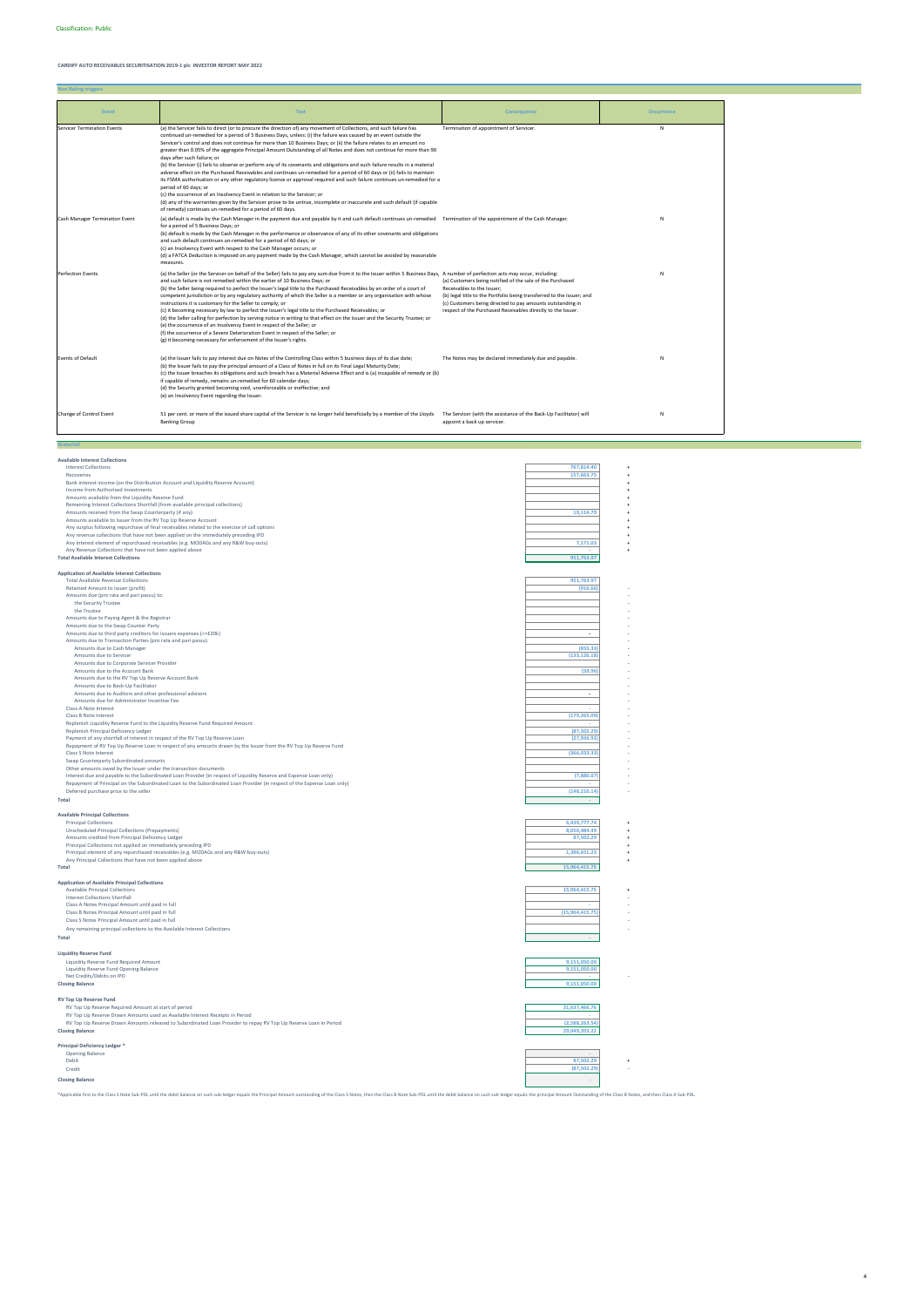| <b>Available Interest Collections</b>                                                                                   |                 |
|-------------------------------------------------------------------------------------------------------------------------|-----------------|
| <b>Interest Collections</b>                                                                                             | 767,814.40      |
| Recoveries                                                                                                              | 157.663.75      |
| Bank interest income (on the Distribution Account and Liquidity Reserve Account)                                        |                 |
| Income from Authorised Investments                                                                                      |                 |
| Amounts available from the Liquidity Reserve Fund                                                                       |                 |
| Remaining Interest Collections Shortfall (from available principal collections)                                         |                 |
| Amounts received from the Swap Counterparty (if any)                                                                    | 19,114.79       |
| Amounts available to Issuer from the RV Top Up Reserve Account                                                          |                 |
| Any surplus following repurchase of final receivables related to the exercise of call options                           |                 |
| Any revenue collections that have not been applied on the immediately preceding IPD                                     |                 |
| Any interest element of repurchased receivables (e.g. MODAGs and any R&W buy-outs)                                      | 7,171.03        |
| Any Revenue Collections that have not been applied above                                                                |                 |
| <b>Total Available Interest Collections</b>                                                                             | 951,763.97      |
|                                                                                                                         |                 |
| <b>Application of Available Interest Collections</b>                                                                    |                 |
| <b>Total Available Revenue Collections</b>                                                                              | 951,763.97      |
| Retained Amount to issuer (profit)                                                                                      | (916.66)        |
| Amounts due (pro rata and pari passu) to:                                                                               |                 |
| the Security Trustee                                                                                                    |                 |
| the Trustee                                                                                                             |                 |
| Amounts due to Paying Agent & the Registrar                                                                             |                 |
| Amounts due to the Swap Counter Party                                                                                   |                 |
| Amounts due to third party creditors for Issuers expenses (<=£20k)                                                      | ÷,              |
| Amounts due to Transaction Parties (pro rata and pari passu)                                                            |                 |
| Amounts due to Cash Manager                                                                                             | (833.33)        |
| Amounts due to Servicer                                                                                                 | (133, 126.18)   |
| Amounts due to Corporate Servicer Provider                                                                              |                 |
| Amounts due to the Account Bank                                                                                         | (59.96)         |
| Amounts due to the RV Top Up Reserve Account Bank                                                                       |                 |
| Amounts due to Back-Up Facilitator                                                                                      |                 |
| Amounts due to Auditors and other professional advisors                                                                 | ÷.              |
| Amounts due for Administrator Incentive Fee                                                                             |                 |
| Class A Note Interest                                                                                                   |                 |
| Class B Note Interest                                                                                                   | (179, 265.09)   |
| Replenish Liquidity Reserve Fund to the Liquidity Reserve Fund Required Amount                                          |                 |
| Replenish Principal Deficiency Ledger                                                                                   | (87, 502.29)    |
| Payment of any shortfall of interest in respect of the RV Top Up Reserve Loan                                           | (27, 936.92)    |
| Repayment of RV Top Up Reserve Loan in respect of any amounts drawn by the Issuer from the RV Top Up Reserve Fund       |                 |
| Class S Note Interest                                                                                                   | (366, 033.33)   |
| Swap Counterparty Subordinated amounts                                                                                  |                 |
| Other amounts owed by the Issuer under the transaction documents                                                        |                 |
| Interest due and payable to the Subordinated Loan Provider (in respect of Liquidity Reserve and Expense Loan only)      | (7,880.07)      |
| Repayment of Principal on the Subordinated Loan to the Subordinated Loan Provider (in respect of the Expense Loan only) |                 |
| Deferred purchase price to the seller                                                                                   | (148, 210.14)   |
| <b>Total</b>                                                                                                            |                 |
|                                                                                                                         |                 |
| <b>Available Principal Collections</b><br><b>Principal Collections</b>                                                  | 6,439,777.74    |
| Unscheduled Principal Collections (Prepayments)                                                                         | 8,050,484.49    |
| Amounts credited from Principal Deficiency Ledger                                                                       | 87,502.29       |
| Principal Collections not applied on immediately preceding IPD                                                          |                 |
| Principal element of any repurchased receivables (e.g. MODAGs and any R&W buy-outs)                                     | 1,386,651.23    |
| Any Principal Collections that have not been applied above                                                              |                 |
| Total                                                                                                                   | 15,964,415.75   |
|                                                                                                                         |                 |
| <b>Application of Available Principal Collections</b>                                                                   |                 |
| <b>Available Principal Collections</b>                                                                                  | 15,964,415.75   |
| Interest Collections Shortfall                                                                                          |                 |
| Class A Notes Principal Amount until paid in full                                                                       |                 |
| Class B Notes Principal Amount until paid in full                                                                       | (15,964,415.75) |
|                                                                                                                         |                 |

| Payment of any shortfall of interest in respect of the RV Top Up Reserve Loan                                           | (27, 936.92)    |  |
|-------------------------------------------------------------------------------------------------------------------------|-----------------|--|
| Repayment of RV Top Up Reserve Loan in respect of any amounts drawn by the Issuer from the RV Top Up Reserve Fund       |                 |  |
| Class S Note Interest                                                                                                   | (366, 033.33)   |  |
| Swap Counterparty Subordinated amounts                                                                                  |                 |  |
| Other amounts owed by the Issuer under the transaction documents                                                        |                 |  |
| Interest due and payable to the Subordinated Loan Provider (in respect of Liquidity Reserve and Expense Loan only)      | (7,880.07)      |  |
| Repayment of Principal on the Subordinated Loan to the Subordinated Loan Provider (in respect of the Expense Loan only) |                 |  |
|                                                                                                                         |                 |  |
| Deferred purchase price to the seller                                                                                   | (148, 210.14)   |  |
| Total                                                                                                                   |                 |  |
| <b>Available Principal Collections</b>                                                                                  |                 |  |
| <b>Principal Collections</b>                                                                                            | 6,439,777.74    |  |
| Unscheduled Principal Collections (Prepayments)                                                                         | 8,050,484.49    |  |
| Amounts credited from Principal Deficiency Ledger                                                                       | 87,502.29       |  |
| Principal Collections not applied on immediately preceding IPD                                                          |                 |  |
| Principal element of any repurchased receivables (e.g. MODAGs and any R&W buy-outs)                                     | 1,386,651.23    |  |
| Any Principal Collections that have not been applied above                                                              |                 |  |
| <b>Total</b>                                                                                                            | 15,964,415.75   |  |
|                                                                                                                         |                 |  |
| <b>Application of Available Principal Collections</b>                                                                   |                 |  |
| <b>Available Principal Collections</b>                                                                                  | 15,964,415.75   |  |
| Interest Collections Shortfall                                                                                          |                 |  |
| Class A Notes Principal Amount until paid in full                                                                       |                 |  |
| Class B Notes Principal Amount until paid in full                                                                       | (15,964,415.75) |  |
| Class S Notes Principal Amount until paid in full                                                                       |                 |  |
| Any remaining principal collections to the Available Interest Collections                                               |                 |  |
| Total                                                                                                                   |                 |  |
|                                                                                                                         |                 |  |
| <b>Liquidity Reserve Fund</b>                                                                                           |                 |  |
| Liquidity Reserve Fund Required Amount                                                                                  | 9,151,050.00    |  |
| Liquidity Reserve Fund Opening Balance                                                                                  | 9,151,050.00    |  |
| Net Credits/Debits on IPD                                                                                               |                 |  |
| <b>Closing Balance</b>                                                                                                  | 9,151,050.00    |  |
|                                                                                                                         |                 |  |
| <b>RV Top Up Reserve Fund</b>                                                                                           |                 |  |
| RV Top Up Reserve Required Amount at start of period                                                                    | 31,637,466.76   |  |
| RV Top Up Reserve Drawn Amounts used as Available Interest Receipts in Period                                           | a.              |  |
| RV Top Up Reserve Drawn Amounts released to Subordinated Loan Provider to repay RV Top Up Reserve Loan in Period        | (2,588,263.54)  |  |
| <b>Closing Balance</b>                                                                                                  | 29,049,203.22   |  |
|                                                                                                                         |                 |  |
| Principal Deficiency Ledger *                                                                                           |                 |  |
| <b>Opening Balance</b>                                                                                                  |                 |  |
| Debit                                                                                                                   | 87,502.29       |  |
| Credit                                                                                                                  | (87, 502.29)    |  |
| <b>Closing Balance</b>                                                                                                  |                 |  |
|                                                                                                                         |                 |  |

\*Applicable first to the Class S Note Sub-PDL until the debit balance on such sub-ledger equals the Principal Amount outstanding of the Class S Notes, then the Class B Note Sub-PDL until the debit balance on such sub-ledge

| <b>Event</b>                          | <b>Test</b>                                                                                                                                                                                                                                                                                                                                                                                                                                                                                                                                                                                                                                                                                                                                                                                                                                                                                                                                                                                                                                                                                                                                                                                                    | <b>Consequence</b>                                                                                                                                                                                                                                                                             | <b>Occurrence</b> |
|---------------------------------------|----------------------------------------------------------------------------------------------------------------------------------------------------------------------------------------------------------------------------------------------------------------------------------------------------------------------------------------------------------------------------------------------------------------------------------------------------------------------------------------------------------------------------------------------------------------------------------------------------------------------------------------------------------------------------------------------------------------------------------------------------------------------------------------------------------------------------------------------------------------------------------------------------------------------------------------------------------------------------------------------------------------------------------------------------------------------------------------------------------------------------------------------------------------------------------------------------------------|------------------------------------------------------------------------------------------------------------------------------------------------------------------------------------------------------------------------------------------------------------------------------------------------|-------------------|
| <b>Servicer Termination Events</b>    | (a) the Servicer fails to direct (or to procure the direction of) any movement of Collections, and such failure has<br>continued un-remedied for a period of 5 Business Days, unless: (i) the failure was caused by an event outside the<br>Servicer's control and does not continue for more than 10 Business Days; or (ii) the failure relates to an amount no<br>greater than 0.05% of the aggregate Principal Amount Outstanding of all Notes and does not continue for more than 90<br>days after such failure; or<br>(b) the Servicer (i) fails to observe or perform any of its covenants and obligations and such failure results in a material<br>adverse effect on the Purchased Receivables and continues un-remedied for a period of 60 days or (ii) fails to maintain<br>its FSMA authorisation or any other regulatory licence or approval required and such failure continues un-remedied for a<br>period of 60 days; or<br>(c) the occurrence of an Insolvency Event in relation to the Servicer; or<br>(d) any of the warranties given by the Servicer prove to be untrue, incomplete or inaccurate and such default (if capable<br>of remedy) continues un-remedied for a period of 60 days. | Termination of appointment of Servicer.                                                                                                                                                                                                                                                        | N                 |
| <b>Cash Manager Termination Event</b> | (a) default is made by the Cash Manager in the payment due and payable by it and such default continues un-remedied Termination of the appointment of the Cash Manager.<br>for a period of 5 Business Days; or<br>(b) default is made by the Cash Manager in the performance or observance of any of its other covenants and obligations<br>and such default continues un-remedied for a period of 60 days; or<br>(c) an Insolvency Event with respect to the Cash Manager occurs; or<br>(d) a FATCA Deduction is imposed on any payment made by the Cash Manager, which cannot be avoided by reasonable<br>measures.                                                                                                                                                                                                                                                                                                                                                                                                                                                                                                                                                                                          |                                                                                                                                                                                                                                                                                                | N                 |
| <b>Perfection Events</b>              | (a) the Seller (or the Servicer on behalf of the Seller) fails to pay any sum due from it to the Issuer within 5 Business Days, A number of perfection acts may occur, including:<br>and such failure is not remedied within the earlier of 10 Business Days; or<br>(b) the Seller being required to perfect the Issuer's legal title to the Purchased Receivables by an order of a court of<br>competent jurisdiction or by any regulatory authority of which the Seller is a member or any organisation with whose<br>instructions it is customary for the Seller to comply; or<br>(c) it becoming necessary by law to perfect the Issuer's legal title to the Purchased Receivables; or<br>(d) the Seller calling for perfection by serving notice in writing to that effect on the Issuer and the Security Trustee; or<br>(e) the occurrence of an Insolvency Event in respect of the Seller; or<br>(f) the occurrence of a Severe Deterioration Event in respect of the Seller; or<br>(g) it becoming necessary for enforcement of the Issuer's rights.                                                                                                                                                   | (a) Customers being notified of the sale of the Purchased<br>Receivables to the Issuer;<br>(b) legal title to the Portfolio being transferred to the Issuer; and<br>(c) Customers being directed to pay amounts outstanding in<br>respect of the Purchased Receivables directly to the Issuer. | N                 |
| <b>Events of Default</b>              | (a) the Issuer fails to pay interest due on Notes of the Controlling Class within 5 business days of its due date;<br>(b) the Issuer fails to pay the principal amount of a Class of Notes in full on its Final Legal Maturity Date;<br>(c) the Issuer breaches its obligations and such breach has a Material Adverse Effect and is (a) incapable of remedy or (b)<br>if capable of remedy, remains un-remedied for 60 calendar days;<br>(d) the Security granted becoming void, unenforceable or ineffective; and<br>(e) an Insolvency Event regarding the Issuer.                                                                                                                                                                                                                                                                                                                                                                                                                                                                                                                                                                                                                                           | The Notes may be declared immediately due and payable.                                                                                                                                                                                                                                         | N                 |
| Change of Control Event               | 51 per cent. or more of the issued share capital of the Servicer is no longer held beneficially by a member of the Lloyds<br><b>Banking Group</b>                                                                                                                                                                                                                                                                                                                                                                                                                                                                                                                                                                                                                                                                                                                                                                                                                                                                                                                                                                                                                                                              | The Servicer (with the assistance of the Back-Up Facilitator) will<br>appoint a back up servicer.                                                                                                                                                                                              | N                 |